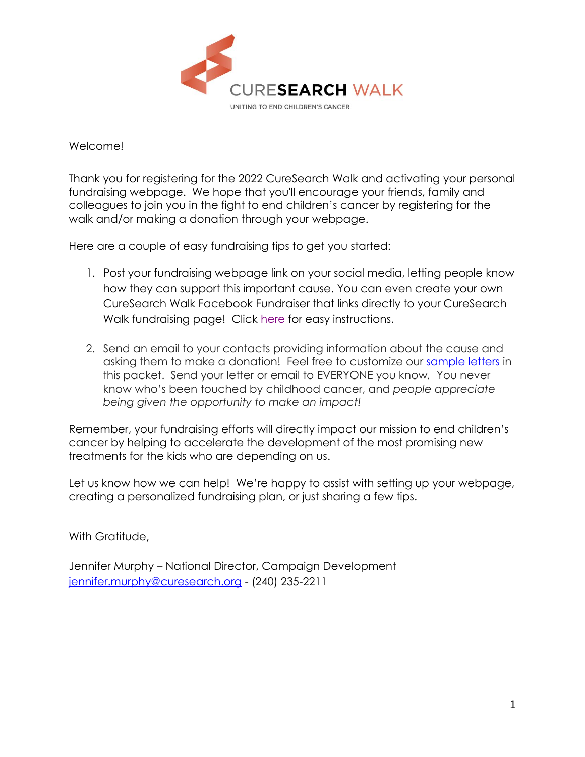

Welcome!

Thank you for registering for the 2022 CureSearch Walk and activating your personal fundraising webpage. We hope that you'll encourage your friends, family and colleagues to join you in the fight to end children's cancer by registering for the walk and/or making a donation through your webpage.

Here are a couple of easy fundraising tips to get you started:

- 1. Post your fundraising webpage link on your social media, letting people know how they can support this important cause. You can even create your own CureSearch Walk Facebook Fundraiser that links directly to your CureSearch Walk fundraising page! Click [here](http://www.curesearchevents.org/site/DocServer/Facebook_Fundraisers_for_CureSearch_Walk_2019.pdf?docID=1561) for easy instructions.
- 2. Send an email to your contacts providing information about the cause and asking them to make a donation! Feel free to customize our [sample letters](https://secure3.convio.net/cures/site/DocServer/CSW_sample_letters_2022.docx?docID=2462) in this packet. Send your letter or email to EVERYONE you know*.* You never know who's been touched by childhood cancer, and *people appreciate being given the opportunity to make an impact!*

Remember, your fundraising efforts will directly impact our mission to end children's cancer by helping to accelerate the development of the most promising new treatments for the kids who are depending on us.

Let us know how we can help! We're happy to assist with setting up your webpage, creating a personalized fundraising plan, or just sharing a few tips.

With Gratitude,

Jennifer Murphy – National Director, Campaign Development [jennifer.murphy@curesearch.org](mailto:jennifer.murphy@curesearch.org) - (240) 235-2211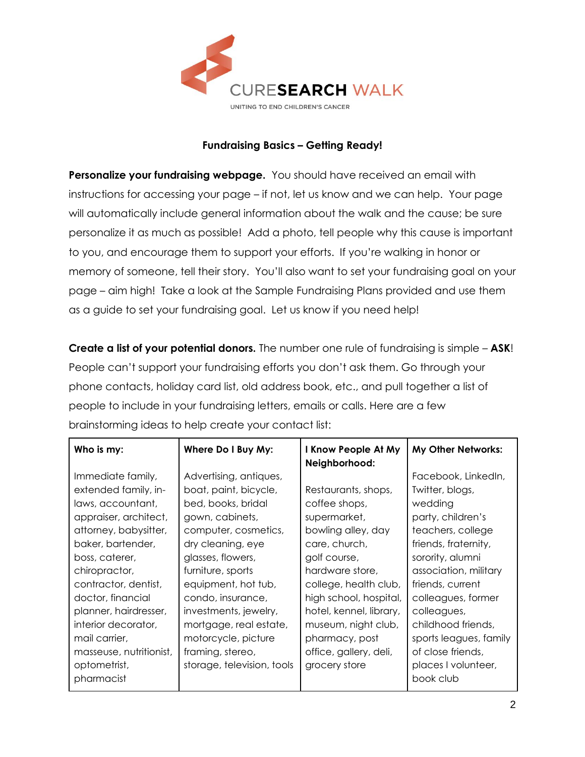

### **Fundraising Basics – Getting Ready!**

**Personalize your fundraising webpage.** You should have received an email with instructions for accessing your page – if not, let us know and we can help.Your page will automatically include general information about the walk and the cause; be sure personalize it as much as possible! Add a photo, tell people why this cause is important to you, and encourage them to support your efforts. If you're walking in honor or memory of someone, tell their story. You'll also want to set your fundraising goal on your page – aim high! Take a look at the Sample Fundraising Plans provided and use them as a guide to set your fundraising goal. Let us know if you need help!

**Create a list of your potential donors.** The number one rule of fundraising is simple – **ASK**! People can't support your fundraising efforts you don't ask them. Go through your phone contacts, holiday card list, old address book, etc., and pull together a list of people to include in your fundraising letters, emails or calls. Here are a few brainstorming ideas to help create your contact list:

| Who is my:                                                                                                                                                                                                                                                                             | Where Do I Buy My:                                                                                                                                                                                                                                                                                    | I Know People At My<br>Neighborhood:                                                                                                                                                                                                                  | My Other Networks:                                                                                                                                                                                                                                                        |
|----------------------------------------------------------------------------------------------------------------------------------------------------------------------------------------------------------------------------------------------------------------------------------------|-------------------------------------------------------------------------------------------------------------------------------------------------------------------------------------------------------------------------------------------------------------------------------------------------------|-------------------------------------------------------------------------------------------------------------------------------------------------------------------------------------------------------------------------------------------------------|---------------------------------------------------------------------------------------------------------------------------------------------------------------------------------------------------------------------------------------------------------------------------|
| Immediate family,<br>extended family, in-<br>laws, accountant,<br>appraiser, architect,<br>attorney, babysitter,<br>baker, bartender,<br>boss, caterer,<br>chiropractor,<br>contractor, dentist,<br>doctor, financial<br>planner, hairdresser,<br>interior decorator,<br>mail carrier, | Advertising, antiques,<br>boat, paint, bicycle,<br>bed, books, bridal<br>gown, cabinets,<br>computer, cosmetics,<br>dry cleaning, eye<br>glasses, flowers,<br>furniture, sports<br>equipment, hot tub,<br>condo, insurance,<br>investments, jewelry,<br>mortgage, real estate,<br>motorcycle, picture | Restaurants, shops,<br>coffee shops,<br>supermarket,<br>bowling alley, day<br>care, church,<br>golf course,<br>hardware store,<br>college, health club,<br>high school, hospital,<br>hotel, kennel, library,<br>museum, night club,<br>pharmacy, post | Facebook, LinkedIn,<br>Twitter, blogs,<br>wedding<br>party, children's<br>teachers, college<br>friends, fraternity,<br>sorority, alumni<br>association, military<br>friends, current<br>colleagues, former<br>colleagues,<br>childhood friends,<br>sports leagues, family |
| masseuse, nutritionist,<br>optometrist,<br>pharmacist                                                                                                                                                                                                                                  | framing, stereo,<br>storage, television, tools                                                                                                                                                                                                                                                        | office, gallery, deli,<br>grocery store                                                                                                                                                                                                               | of close friends,<br>places I volunteer,<br>book club                                                                                                                                                                                                                     |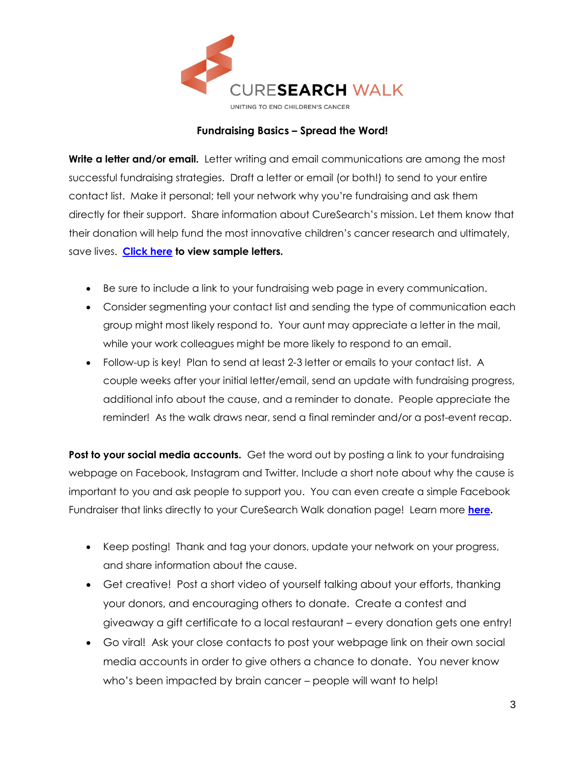

#### **Fundraising Basics – Spread the Word!**

**Write a letter and/or email.** Letter writing and email communications are among the most successful fundraising strategies. Draft a letter or email (or both!) to send to your entire contact list. Make it personal; tell your network why you're fundraising and ask them directly for their support. Share information about CureSearch's mission. Let them know that their donation will help fund the most innovative children's cancer research and ultimately, save lives. **[Click here](https://secure3.convio.net/cures/site/DocServer/CSW_sample_letters_2022.docx?docID=2462) to view sample letters.**

- Be sure to include a link to your fundraising web page in every communication.
- Consider segmenting your contact list and sending the type of communication each group might most likely respond to. Your aunt may appreciate a letter in the mail, while your work colleagues might be more likely to respond to an email.
- Follow-up is key! Plan to send at least 2-3 letter or emails to your contact list. A couple weeks after your initial letter/email, send an update with fundraising progress, additional info about the cause, and a reminder to donate. People appreciate the reminder! As the walk draws near, send a final reminder and/or a post-event recap.

**Post to your social media accounts.** Get the word out by posting a link to your fundraising webpage on Facebook, Instagram and Twitter. Include a short note about why the cause is important to you and ask people to support you. You can even create a simple Facebook Fundraiser that links directly to your CureSearch Walk donation page! Learn more **[here.](http://www.curesearchevents.org/site/DocServer/Facebook_Fundraisers_for_CureSearch_Walk_2019.pdf?docID=1561)**

- Keep posting! Thank and tag your donors, update your network on your progress, and share information about the cause.
- Get creative! Post a short video of yourself talking about your efforts, thanking your donors, and encouraging others to donate. Create a contest and giveaway a gift certificate to a local restaurant – every donation gets one entry!
- Go viral! Ask your close contacts to post your webpage link on their own social media accounts in order to give others a chance to donate. You never know who's been impacted by brain cancer – people will want to help!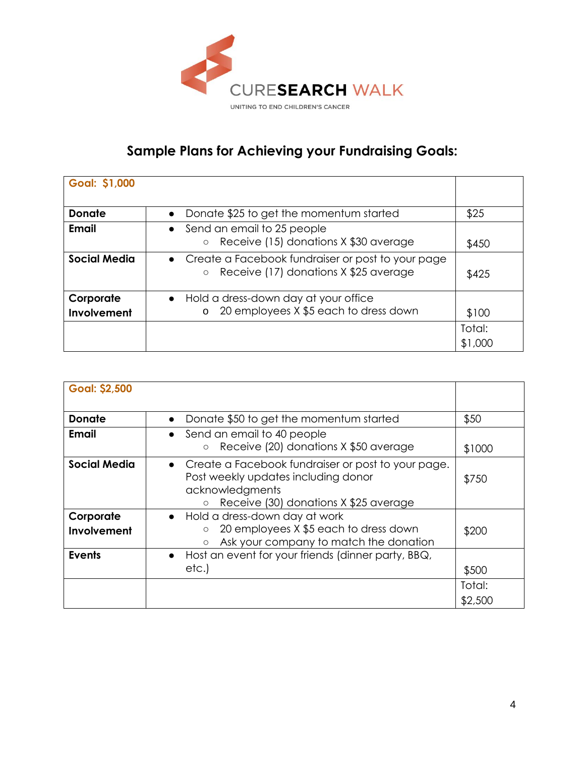

# **Sample Plans for Achieving your Fundraising Goals:**

| <b>Goal: \$1,000</b>     |                                                                                                         |                   |
|--------------------------|---------------------------------------------------------------------------------------------------------|-------------------|
| <b>Donate</b>            | Donate \$25 to get the momentum started<br>$\bullet$                                                    | \$25              |
| Email                    | • Send an email to 25 people<br>Receive (15) donations X \$30 average<br>$\circ$                        | \$450             |
| <b>Social Media</b>      | • Create a Facebook fundraiser or post to your page<br>Receive (17) donations X \$25 average<br>$\circ$ | \$425             |
| Corporate<br>Involvement | • Hold a dress-down day at your office<br>20 employees X \$5 each to dress down<br>$\mathsf{o}$         | \$100             |
|                          |                                                                                                         | Total:<br>\$1,000 |

| <b>Goal: \$2,500</b>     |                                                                                                                                                         |                   |
|--------------------------|---------------------------------------------------------------------------------------------------------------------------------------------------------|-------------------|
| <b>Donate</b>            | Donate \$50 to get the momentum started<br>$\bullet$                                                                                                    | \$50              |
| Email                    | • Send an email to 40 people<br>Receive (20) donations X \$50 average                                                                                   | \$1000            |
| <b>Social Media</b>      | • Create a Facebook fundraiser or post to your page.<br>Post weekly updates including donor<br>acknowledgments<br>Receive (30) donations X \$25 average | \$750             |
| Corporate<br>Involvement | • Hold a dress-down day at work<br>20 employees X \$5 each to dress down<br>$\circ$<br>Ask your company to match the donation<br>$\circ$                | \$200             |
| <b>Events</b>            | • Host an event for your friends (dinner party, BBQ,<br>etc.)                                                                                           | \$500             |
|                          |                                                                                                                                                         | Total:<br>\$2,500 |